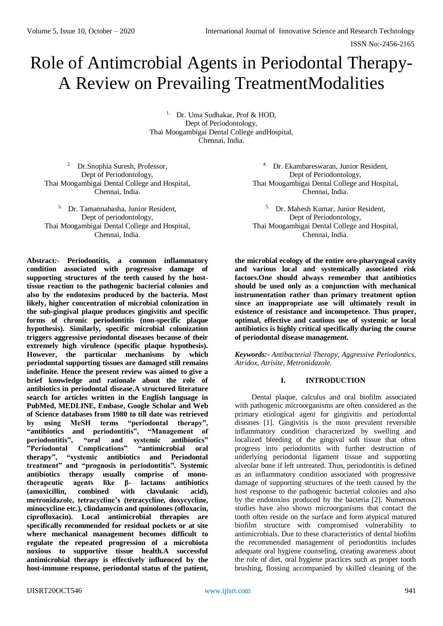# Role of Antimcrobial Agents in Periodontal Therapy-A Review on Prevailing TreatmentModalities

<sup>1.</sup> Dr. Uma Sudhakar, Prof & HOD, Dept of Periodontology, Thai Moogambigai Dental College andHospital, Chennai, India.

2. Dr.Snophia Suresh, Professor, Dept of Periodontology, Thai Moogambigai Dental College and Hospital, Chennai, India.

3. Dr. Tamannabasha, Junior Resident, Dept of periodontology, Thai Moogambigai Dental College and Hospital, Chennai, India.

**Abstract***:-* **Periodontitis, a common inflammatory condition associated with progressive damage of supporting structures of the teeth caused by the hosttissue reaction to the pathogenic bacterial colonies and also by the endotoxins produced by the bacteria. Most likely, higher concentration of microbial colonization in the sub-gingival plaque produces gingivitis and specific forms of chronic periodontitis (non-specific plaque hypothesis). Similarly, specific microbial colonization triggers aggressive periodontal diseases because of their extremely high virulence (specific plaque hypothesis). However, the particular mechanisms by which periodontal supporting tissues are damaged still remains indefinite. Hence the present review was aimed to give a brief knowledge and rationale about the role of antibiotics in periodontal disease.A structured literature search for articles written in the English language in PubMed, MEDLINE, Embase, Google Scholar and Web of Science databases from 1980 to till date was retrieved by using MeSH terms "periodontal therapy", "antibiotics and periodontitis", "Management of periodontitis", "oral and systemic antibiotics" "Periodontal Complications" "antimicrobial oral therapy", "systemic antibiotics and Periodontal treatment" and "prognosis in periodontitis". Systemic antibiotics therapy usually comprise of monotherapeutic agents like β- lactams antibiotics (amoxicillin, combined with clavulanic acid), metronidazole, tetracycline's (tetracycline, doxycycline, minocycline etc.), clindamycin and quinolones (ofloxacin, ciprofloxacin). Local antimicrobial therapies are specifically recommended for residual pockets or at site where mechanical management becomes difficult to regulate the repeated progression of a microbiota noxious to supportive tissue health.A successful antimicrobial therapy is effectively influenced by the host-immune response, periodontal status of the patient,** 

4. Dr. Ekambareswaran, Junior Resident, Dept of Periodontology, Thai Moogambigai Dental College and Hospital, Chennai, India.

5. Dr. Mahesh Kumar, Junior Resident, Dept of Periodontology, Thai Moogambigai Dental College and Hospital, Chennai, India.

**the microbial ecology of the entire oro-pharyngeal cavity and various local and systemically associated risk factors.One should always remember that antibiotics should be used only as a conjunction with mechanical instrumentation rather than primary treatment option since an inappropriate use will ultimately result in existence of resistance and incompetence. Thus proper, optimal, effective and cautious use of systemic or local antibiotics is highly critical specifically during the course of periodontal disease management.**

*Keywords:- Antibacterial Therapy, Aggressive Periodontics, Atridox, Atrisite, Metronidazole.*

## **I. INTRODUCTION**

Dental plaque, calculus and oral biofilm associated with pathogenic microorganisms are often considered as the primary etiological agent for gingivitis and periodontal diseases [1]. Gingivitis is the most prevalent reversible inflammatory condition characterized by swelling and localized bleeding of the gingival soft tissue that often progress into periodontitis with further destruction of underlying periodontal ligament tissue and supporting alveolar bone if left untreated. Thus, periodontitis is defined as an inflammatory condition associated with progressive damage of supporting structures of the teeth caused by the host response to the pathogenic bacterial colonies and also by the endotoxins produced by the bacteria [2]. Numerous studies have also shown microorganisms that contact the tooth often reside on the surface and form atypical matured biofilm structure with compromised vulnerability to antimicrobials. Due to these characteristics of dental biofilm the recommended management of periodontitis includes adequate oral hygiene counseling, creating awareness about the role of diet, oral hygiene practices such as proper tooth brushing, flossing accompanied by skilled cleaning of the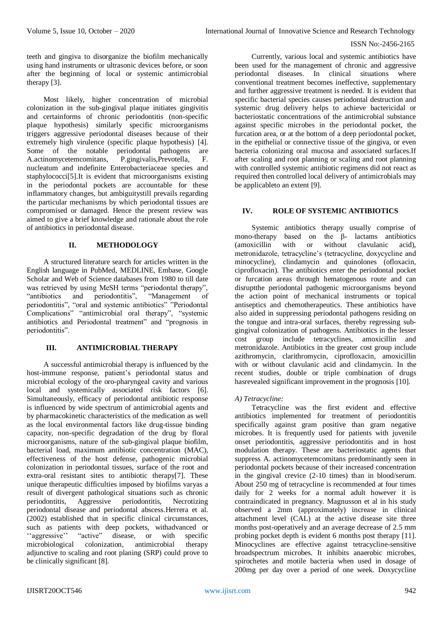teeth and gingiva to disorganize the biofilm mechanically using hand instruments or ultrasonic devices before, or soon after the beginning of local or systemic antimicrobial therapy [3].

Most likely, higher concentration of microbial colonization in the sub-gingival plaque initiates gingivitis and certainforms of chronic periodontitis (non-specific plaque hypothesis) similarly specific microorganisms triggers aggressive periodontal diseases because of their extremely high virulence (specific plaque hypothesis) [4]. Some of the notable periodontal pathogens are<br>A.actinomycetemcomitans. P.gingivalis.Prevotella. F. A.actinomycetemcomitans, P.gingivalis, Prevotella, F. nucleatum and indefinite Enterobacteriaceae species and staphylococci[5].It is evident that microorganisms existing in the periodontal pockets are accountable for these inflammatory changes, but ambiguitystill prevails regarding the particular mechanisms by which periodontal tissues are compromised or damaged. Hence the present review was aimed to give a brief knowledge and rationale about the role of antibiotics in periodontal disease.

# **II. METHODOLOGY**

A structured literature search for articles written in the English language in PubMed, MEDLINE, Embase, Google Scholar and Web of Science databases from 1980 to till date was retrieved by using MeSH terms "periodontal therapy",<br>"antibiotics and periodontitis", "Management of "antibiotics and periodontitis", "Management of periodontitis", "oral and systemic antibiotics" "Periodontal Complications" "antimicrobial oral therapy", "systemic antibiotics and Periodontal treatment" and "prognosis in periodontitis".

## **III. ANTIMICROBIAL THERAPY**

A successful antimicrobial therapy is influenced by the host-immune response, patient's periodontal status and microbial ecology of the oro-pharyngeal cavity and various local and systemically associated risk factors [6]. Simultaneously, efficacy of periodontal antibiotic response is influenced by wide spectrum of antimicrobial agents and by pharmacokinetic characteristics of the medication as well as the local environmental factors like drug-tissue binding capacity, non-specific degradation of the drug by floral microorganisms, nature of the sub-gingival plaque biofilm, bacterial load, maximum antibiotic concentration (MAC), effectiveness of the host defense, pathogenic microbial colonization in periodontal tissues, surface of the root and extra-oral resistant sites to antibiotic therapy[7]. These unique therapeutic difficulties imposed by biofilms varyas a result of divergent pathological situations such as chronic<br>periodontitis, Aggressive periodontitis, Necrotizing periodontitis, Aggressive periodontitis, Necrotizing periodontal disease and periodontal abscess.Herrera et al. (2002) established that in specific clinical circumstances, such as patients with deep pockets, withadvanced or<br>"aggressive" "active" disease, or with specific ''aggressive'' "active" disease, or with specific microbiological colonization, antimicrobial therapy adjunctive to scaling and root planing (SRP) could prove to be clinically significant [8].

Currently, various local and systemic antibiotics have been used for the management of chronic and aggressive periodontal diseases. In clinical situations where conventional treatment becomes ineffective, supplementary and further aggressive treatment is needed. It is evident that specific bacterial species causes periodontal destruction and systemic drug delivery helps to achieve bactericidal or bacteriostatic concentrations of the antimicrobial substance against specific microbes in the periodontal pocket, the furcation area, or at the bottom of a deep periodontal pocket, in the epithelial or connective tissue of the gingiva, or even bacteria colonizing oral mucosa and associated surfaces.If after scaling and root planning or scaling and root planning with controlled systemic antibiotic regimens did not react as required then controlled local delivery of antimicrobials may be applicableto an extent [9].

# **IV. ROLE OF SYSTEMIC ANTIBIOTICS**

Systemic antibiotics therapy usually comprise of mono-therapy based on the β- lactams antibiotics (amoxicillin with or without clavulanic acid), metronidazole, tetracycline's (tetracycline, doxycycline and minocycline), clindamycin and quinolones (ofloxacin, ciprofloxacin). The antibiotics enter the periodontal pocket or furcation areas through hematogenous route and can disruptthe periodontal pathogenic microorganisms beyond the action point of mechanical instruments or topical antiseptics and chemotherapeutics. These antibiotics have also aided in suppressing periodontal pathogens residing on the tongue and intra-oral surfaces, thereby regressing subgingival colonization of pathogens. Antibiotics in the lesser cost group include tetracyclines, amoxicillin and metronidazole. Antibiotics in the greater cost group include azithromycin, clarithromycin, ciprofloxacin, amoxicillin with or without clavulanic acid and clindamycin. In the recent studies, double or triple combination of drugs hasrevealed significant improvement in the prognosis [10].

## *A) Tetracycline:*

Tetracycline was the first evident and effective antibiotics implemented for treatment of periodontitis specifically against gram positive than gram negative microbes. It is frequently used for patients with juvenile onset periodontitis, aggressive periodontitis and in host modulation therapy. These are bacteriostatic agents that suppress A. actinomycetemcomitans predominantly seen in periodontal pockets because of their increased concentration in the gingival crevice (2-10 times) than in blood/serum. About 250 mg of tetracycline is recommended at four times daily for 2 weeks for a normal adult however it is contraindicated in pregnancy. Magnusson et al in his study observed a 2mm (approximately) increase in clinical attachment level (CAL) at the active disease site three months post-operatively and an average decrease of 2.5 mm probing pocket depth is evident 6 months post therapy [11]. Minocyclines are effective against tetracycline-sensitive broadspectrum microbes. It inhibits anaerobic microbes, spirochetes and motile bacteria when used in dosage of 200mg per day over a period of one week. Doxycycline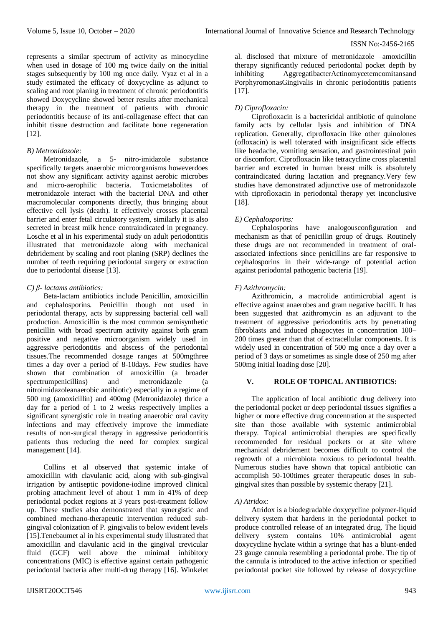represents a similar spectrum of activity as minocycline when used in dosage of 100 mg twice daily on the initial stages subsequently by 100 mg once daily. Vyaz et al in a study estimated the efficacy of doxycycline as adjunct to scaling and root planing in treatment of chronic periodontitis showed Doxycycline showed better results after mechanical therapy in the treatment of patients with chronic periodontitis because of its anti-collagenase effect that can inhibit tissue destruction and facilitate bone regeneration [12].

## *B) Metronidazole:*

Metronidazole, a 5- nitro-imidazole substance specifically targets anaerobic microorganisms howeverdoes not show any significant activity against aerobic microbes and micro-aerophilic bacteria. Toxicmetabolites of metronidazole interact with the bacterial DNA and other macromolecular components directly, thus bringing about effective cell lysis (death). It effectively crosses placental barrier and enter fetal circulatory system, similarly it is also secreted in breast milk hence contraindicated in pregnancy. Losche et al in his experimental study on adult periodontitis illustrated that metronidazole along with mechanical debridement by scaling and root planing (SRP) declines the number of teeth requiring periodontal surgery or extraction due to periodontal disease [13].

## *C) β- lactams antibiotics:*

Beta-lactam antibiotics include Penicillin, amoxicillin and cephalosporins. Penicillin though not used in periodontal therapy, acts by suppressing bacterial cell wall production. Amoxicillin is the most common semisynthetic penicillin with broad spectrum activity against both gram positive and negative microorganism widely used in aggressive periodontitis and abscess of the periodontal tissues.The recommended dosage ranges at 500mgthree times a day over a period of 8-10days. Few studies have shown that combination of amoxicillin (a broader spectrumpenicillins) and metronidazole (a nitroimidazoleanaerobic antibiotic) especially in a regime of 500 mg (amoxicillin) and 400mg (Metronidazole) thrice a day for a period of 1 to 2 weeks respectively implies a significant synergistic role in treating anaerobic oral cavity infections and may effectively improve the immediate results of non-surgical therapy in aggressive periodontitis patients thus reducing the need for complex surgical management [14].

Collins et al observed that systemic intake of amoxicillin with clavulanic acid, along with sub-gingival irrigation by antiseptic povidone-iodine improved clinical probing attachment level of about 1 mm in 41% of deep periodontal pocket regions at 3 years post-treatment follow up. These studies also demonstrated that synergistic and combined mechano-therapeutic intervention reduced subgingival colonization of P. gingivalis to below evident levels [15].Tenebaumet al in his experimental study illustrated that amoxicillin and clavulanic acid in the gingival crevicular fluid (GCF) well above the minimal inhibitory concentrations (MIC) is effective against certain pathogenic periodontal bacteria after multi-drug therapy [16]. Winkelet al. disclosed that mixture of metronidazole –amoxicillin therapy significantly reduced periodontal pocket depth by inhibiting AggregatibacterActinomycetemcomitansand PorphyromonasGingivalis in chronic periodontitis patients [17].

## *D) Ciprofloxacin:*

Ciprofloxacin is a bactericidal antibiotic of quinolone family acts by cellular lysis and inhibition of DNA replication. Generally, ciprofloxacin like other quinolones (ofloxacin) is well tolerated with insignificant side effects like headache, vomiting sensation, and gastrointestinal pain or discomfort. Ciprofloxacin like tetracycline cross placental barrier and excreted in human breast milk is absolutely contraindicated during lactation and pregnancy.Very few studies have demonstrated adjunctive use of metronidazole with ciprofloxacin in periodontal therapy yet inconclusive [18].

## *E) Cephalosporins:*

Cephalosporins have analogousconfiguration and mechanism as that of penicillin group of drugs. Routinely these drugs are not recommended in treatment of oralassociated infections since penicillins are far responsive to cephalosporins in their wide-range of potential action against periodontal pathogenic bacteria [19].

## *F) Azithromycin:*

Azithromicin, a macrolide antimicrobial agent is effective against anaerobes and gram negative bacilli. It has been suggested that azithromycin as an adjuvant to the treatment of aggressive periodontitis acts by penetrating fibroblasts and induced phagocytes in concentration 100– 200 times greater than that of extracellular components. It is widely used in concentration of 500 mg once a day over a period of 3 days or sometimes as single dose of 250 mg after 500mg initial loading dose [20].

## **V. ROLE OF TOPICAL ANTIBIOTICS:**

The application of local antibiotic drug delivery into the periodontal pocket or deep periodontal tissues signifies a higher or more effective drug concentration at the suspected site than those available with systemic antimicrobial therapy. Topical antimicrobial therapies are specifically recommended for residual pockets or at site where mechanical debridement becomes difficult to control the regrowth of a microbiota noxious to periodontal health. Numerous studies have shown that topical antibiotic can accomplish 50-100times greater therapeutic doses in subgingival sites than possible by systemic therapy [21].

### *A) Atridox:*

Atridox is a biodegradable doxycycline polymer-liquid delivery system that hardens in the periodontal pocket to produce controlled release of an integrated drug. The liquid delivery system contains 10% antimicrobial agent doxycycline hyclate within a syringe that has a blunt-ended 23 gauge cannula resembling a periodontal probe. The tip of the cannula is introduced to the active infection or specified periodontal pocket site followed by release of doxycycline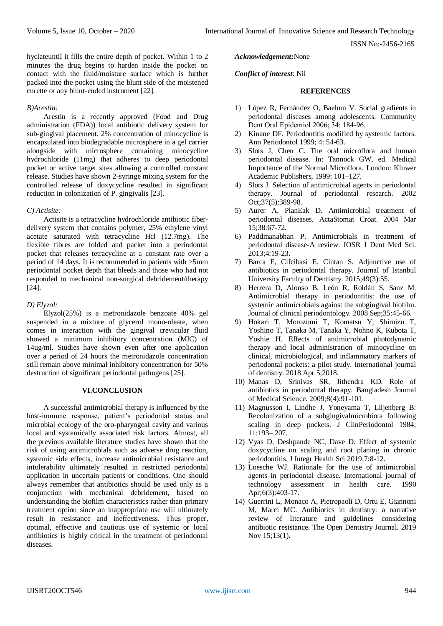hyclateuntil it fills the entire depth of pocket. Within 1 to 2 minutes the drug begins to harden inside the pocket on contact with the fluid/moisture surface which is further packed into the pocket using the blunt side of the moistened curette or any blunt-ended instrument [22].

#### *B)Arestin:*

Arestin is a recently approved (Food and Drug administration (FDA)) local antibiotic delivery system for sub-gingival placement. 2% concentration of minocycline is encapsulated into biodegradable microsphere in a gel carrier alongside with microsphere containing minocycline hydrochloride (11mg) that adheres to deep periodontal pocket or active target sites allowing a controlled constant release. Studies have shown 2-syringe mixing system for the controlled release of doxycycline resulted in significant reduction in colonization of P. gingivalis [23].

### *C) Actisite:*

Actisite is a tetracycline hydrochloride antibiotic fiberdelivery system that contains polymer, 25% ethylene vinyl acetate saturated with tetracycline Hcl (12.7mg). The flexible fibres are folded and packet into a periodontal pocket that releases tetracycline at a constant rate over a period of 14 days. It is recommended in patients with >5mm periodontal pocket depth that bleeds and those who had not responded to mechanical non-surgical debridement/therapy [24].

#### *D) Elyzol:*

Elyzol(25%) is a metronidazole benzoate 40% gel suspended in a mixture of glycerol mono-oleate, when comes in interaction with the gingival crevicular fluid showed a minimum inhibitory concentration (MIC) of 14ug/ml. Studies have shown even after one application over a period of 24 hours the metronidazole concentration still remain above minimal inhibitory concentration for 50% destruction of significant periodontal pathogens [25].

#### **VI.CONCLUSION**

A successful antimicrobial therapy is influenced by the host-immune response, patient's periodontal status and microbial ecology of the oro-pharyngeal cavity and various local and systemically associated risk factors. Almost, all the previous available literature studies have shown that the risk of using antimicrobials such as adverse drug reaction, systemic side effects, increase antimicrobial resistance and intolerability ultimately resulted in restricted periodontal application in uncertain patients or conditions. One should always remember that antibiotics should be used only as a conjunction with mechanical debridement, based on understanding the biofilm characteristics rather than primary treatment option since an inappropriate use will ultimately result in resistance and ineffectiveness. Thus proper, optimal, effective and cautious use of systemic or local antibiotics is highly critical in the treatment of periodontal diseases.

#### *Acknowledgement:*None

#### *Conflict of interest*: Nil

#### **REFERENCES**

- 1) López R, Fernández O, Baelum V. Social gradients in periodontal diseases among adolescents. Community Dent Oral Epidemiol 2006; 34: 184‑96.
- 2) Kinane DF. Periodontitis modified by systemic factors. Ann Periodontol 1999; 4: 54-63.
- 3) Slots J, Chen C. The oral microflora and human periodontal disease. In: Tannock GW, ed. Medical Importance of the Normal Microflora. London: Kluwer Academic Publishers, 1999: 101–127.
- 4) Slots J. Selection of antimicrobial agents in periodontal therapy. Journal of periodontal research. 2002 Oct;37(5):389-98.
- 5) Aurer A, PlanEak D. Antimicrobial treatment of periodontal diseases. ActaStomat Croat. 2004 Mar 15;38:67-72.
- 6) Paddmanabhan P. Antimicrobials in treatment of periodontal disease-A review. IOSR J Dent Med Sci. 2013;4:19-23.
- 7) Barca E, Cifcibasi E, Cintan S. Adjunctive use of antibiotics in periodontal therapy. Journal of Istanbul University Faculty of Dentistry. 2015;49(3):55.
- 8) Herrera D, Alonso B, León R, Roldán S, Sanz M. Antimicrobial therapy in periodontitis: the use of systemic antimicrobials against the subgingival biofilm. Journal of clinical periodontology. 2008 Sep;35:45-66.
- 9) Hokari T, Morozumi T, Komatsu Y, Shimizu T, Yoshino T, Tanaka M, Tanaka Y, Nohno K, Kubota T, Yoshie H. Effects of antimicrobial photodynamic therapy and local administration of minocycline on clinical, microbiological, and inflammatory markers of periodontal pockets: a pilot study. International journal of dentistry. 2018 Apr 5;2018.
- 10) Manas D, Srinivas SR, Jithendra KD. Role of antibiotics in periodontal therapy. Bangladesh Journal of Medical Science. 2009;8(4):91-101.
- 11) Magnusson I, Lindhe J, Yoneyama T, Liljenberg B: Recolonization of a subgingivalmicrobiota following scaling in deep pockets. J ClinPeriodontol 1984; 11:193– 207.
- 12) Vyas D, Deshpande NC, Dave D. Effect of systemic doxycycline on scaling and root planing in chronic periodontitis. J Integr Health Sci 2019;7:8-12.
- 13) Loesche WJ. Rationale for the use of antimicrobial agents in periodontal disease. International journal of technology assessment in health care. 1990 Apr;6(3):403-17.
- 14) Guerrini L, Monaco A, Pietropaoli D, Ortu E, Giannoni M, Marci MC. Antibiotics in dentistry: a narrative review of literature and guidelines considering antibiotic resistance. The Open Dentistry Journal. 2019 Nov 15;13(1).